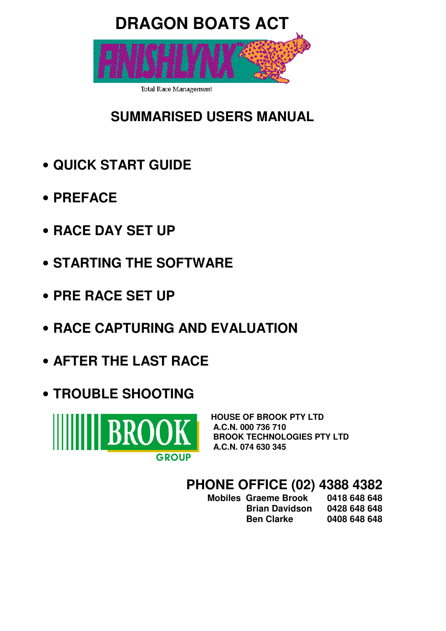# **DRAGON BOATS ACT**

**Total Race Management** 

# **SUMMARISED USERS MANUAL**

- **QUICK START GUIDE**
- **PREFACE**
- **RACE DAY SET UP**
- **STARTING THE SOFTWARE**
- **PRE RACE SET UP**
- **RACE CAPTURING AND EVALUATION**
- **AFTER THE LAST RACE**
- **TROUBLE SHOOTING**



**HOUSE OF BROOK PTY LTD A.C.N. 000 736 710 BROOK TECHNOLOGIES PTY LTD A.C.N. 074 630 345** 

# **PHONE OFFICE (02) 4388 4382**

 **Mobiles Graeme Brook 0418 648 648 Brian Davidson 0428 648 648 Ben Clarke 0408 648 648**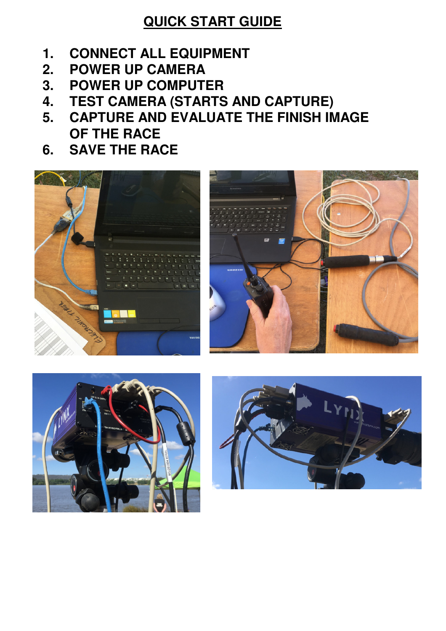## **QUICK START GUIDE**

- **1. CONNECT ALL EQUIPMENT**
- **2. POWER UP CAMERA**
- **3. POWER UP COMPUTER**
- **4. TEST CAMERA (STARTS AND CAPTURE)**
- **5. CAPTURE AND EVALUATE THE FINISH IMAGE OF THE RACE**
- **6. SAVE THE RACE**







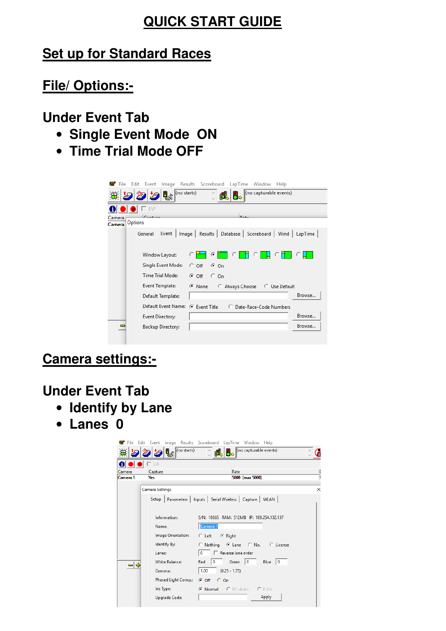## **QUICK START GUIDE**

## **Set up for Standard Races**

## **File/ Options:-**

## **Under Event Tab**

- **Single Event Mode ON**
- **Time Trial Mode OFF**

| File Edit Event Image Results Scoreboard | LapTime Window Help                                              |
|------------------------------------------|------------------------------------------------------------------|
| $\left\  \cdot \right\ $ (no starts)     | (no capturable events)                                           |
| А<br><b>ID</b> EVF<br>œ                  |                                                                  |
| Camera<br>Options                        | $D - 4$                                                          |
| Camera                                   |                                                                  |
| General                                  | Event   Image   Results   Database   Scoreboard   Wind   LapTime |
|                                          |                                                                  |
| Window Layout:                           | $\circ$<br>G.                                                    |
| Single Event Mode:                       | $G$ On<br>$\degree$ Off                                          |
| <b>Time Trial Mode:</b>                  | $C$ Off $C$ On                                                   |
| Event Template:                          | ⊙ None<br>C Always Choose C Use Default                          |
| Default Template:                        | Browse                                                           |
| Default Event Name: (C Event Title       | C Date-Race-Code Numbers                                         |
| <b>Event Directory:</b>                  | Browse                                                           |
| <b>Backup Directory:</b>                 | Browse                                                           |
|                                          |                                                                  |

## **Camera settings:-**

## **Under Event Tab**

- **Identify by Lane**
- **Lanes 0**

|                    |                                      | File Edit Event Image Results Scoreboard LapTime Window Help   |        |
|--------------------|--------------------------------------|----------------------------------------------------------------|--------|
|                    | $\left\  \cdot \right\ $ (no starts) | (no capturable events)                                         |        |
| $\mathbf{O}$       | $\Box$ EVF                           |                                                                |        |
| Camera<br>Camera 1 | Capture<br>Yes                       | Rate<br>5000 (max 5000)                                        | C<br>ī |
|                    | Camera Settings                      |                                                                | ×      |
|                    |                                      | Setup   Parameters   Inputs   Serial Wireless   Capture   WLAN |        |
|                    | Information:                         | S/N: 10365 RAM: 512MB IP: 169.254.132.137                      |        |
|                    | Name:                                | Camera 1                                                       |        |
|                    | Image Orientation:                   | C Left F Right                                                 |        |
|                    | Identify By:                         | C Nothing C Lane C No. C License                               |        |
|                    | Lanes:                               | Reverse lane order<br>$\mathbf 0$                              |        |
| ╺╕╬                | <b>White Balance:</b>                | $\bf{0}$<br>Green $ 0$<br>Red<br>Blue $ 0$                     |        |
|                    | Gamma:                               | 1.00<br>$(0.25 - 1.75)$                                        |        |
|                    | Phased Light Comp.:                  | $G$ Off $C$ On                                                 |        |
|                    | Iris Type:                           | C Normal C DC-Auto C P-Iris                                    |        |
|                    | <b>Upgrade Code:</b>                 | Apply                                                          |        |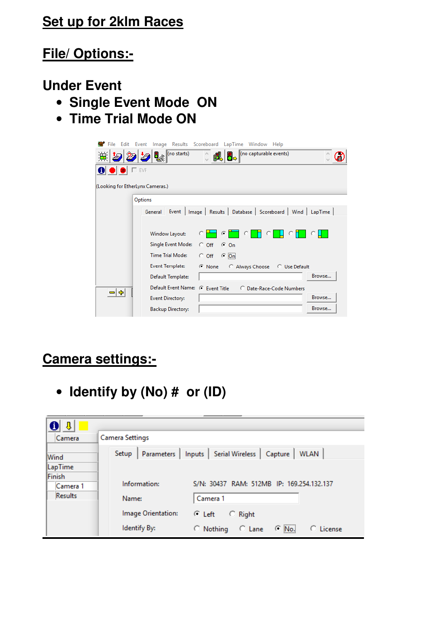## **Set up for 2klm Races**

## **File/ Options:-**

## **Under Event**

- **Single Event Mode ON**
- **Time Trial Mode ON**

| <b>雲</b> File Edit Event<br>Image Results Scoreboard<br>LapTime<br>Window Help       |  |
|--------------------------------------------------------------------------------------|--|
| $\ $ (no starts)<br>(no capturable events)<br>ų.<br>蓮<br>' <mark>d</mark> .          |  |
| $\bullet$<br>T EVF                                                                   |  |
| (Looking for EtherLynx Cameras.)                                                     |  |
| Options                                                                              |  |
| Results  <br>Database   Scoreboard   Wind   LapTime  <br>Event  <br>Image<br>General |  |
|                                                                                      |  |
| Window Layout:<br>G                                                                  |  |
| Single Event Mode:<br>$G$ On<br>$C$ Off                                              |  |
| <b>Time Trial Mode:</b><br>$\subseteq$ On<br>$\circ$ off                             |  |
| <b>Event Template:</b><br>$\odot$ None<br>Always Choose C Use Default                |  |
| Browse<br>Default Template:                                                          |  |
| <b>Default Event Name:</b><br>← Event Title<br>C Date-Race-Code Numbers              |  |
| -14<br>Browse<br><b>Event Directory:</b>                                             |  |
| Browse<br><b>Backup Directory:</b>                                                   |  |

## **Camera settings:-**

• **Identify by (No) # or (ID)** 

| đ<br>J.        |                                                                                   |
|----------------|-----------------------------------------------------------------------------------|
| Camera         | Camera Settings                                                                   |
| Wind           | <b>Serial Wireless</b><br>Setup<br>Capture<br><b>WLAN</b><br>Parameters<br>Inputs |
| LapTime        |                                                                                   |
| Finish         |                                                                                   |
| Camera 1       | Information:<br>S/N: 30437 RAM: 512MB IP: 169.254.132.137                         |
| <b>Results</b> | Camera 1<br>Name:                                                                 |
|                | Image Orientation:<br>C Left<br><b>Right</b><br>О.                                |
|                | Identify By:<br>$\subseteq$ No.<br>License<br>$\circ$ Nothing<br>$C$ Lane         |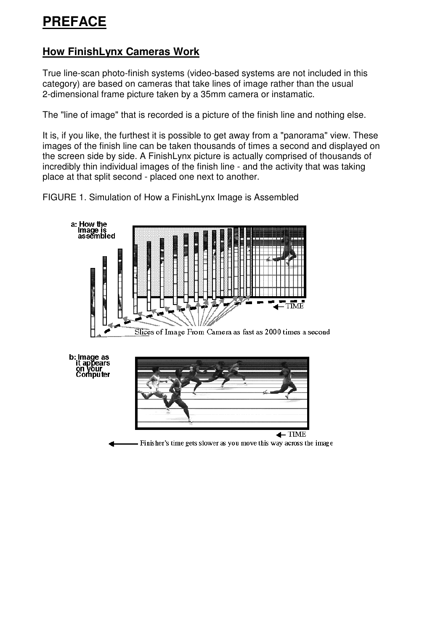## **How FinishLynx Cameras Work**

True line-scan photo-finish systems (video-based systems are not included in this category) are based on cameras that take lines of image rather than the usual 2-dimensional frame picture taken by a 35mm camera or instamatic.

The "line of image" that is recorded is a picture of the finish line and nothing else.

It is, if you like, the furthest it is possible to get away from a "panorama" view. These images of the finish line can be taken thousands of times a second and displayed on the screen side by side. A FinishLynx picture is actually comprised of thousands of incredibly thin individual images of the finish line - and the activity that was taking place at that split second - placed one next to another.

FIGURE 1. Simulation of How a FinishLynx Image is Assembled

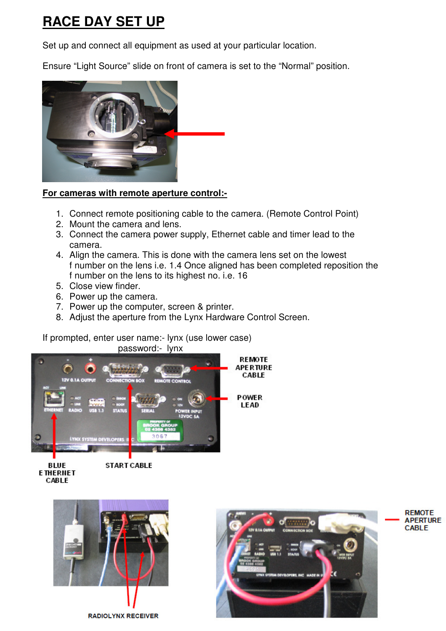# **RACE DAY SET UP**

Set up and connect all equipment as used at your particular location.

Ensure "Light Source" slide on front of camera is set to the "Normal" position.



#### **For cameras with remote aperture control:-**

- 1. Connect remote positioning cable to the camera. (Remote Control Point)
- 2. Mount the camera and lens.
- 3. Connect the camera power supply, Ethernet cable and timer lead to the camera.
- 4. Align the camera. This is done with the camera lens set on the lowest f number on the lens i.e. 1.4 Once aligned has been completed reposition the f number on the lens to its highest no. i.e. 16
- 5. Close view finder.
- 6. Power up the camera.
- 7. Power up the computer, screen & printer.
- 8. Adjust the aperture from the Lynx Hardware Control Screen.

If prompted, enter user name:- lynx (use lower case) password:- lynx





START CABLE





**REMOTE APERTURE CABLE**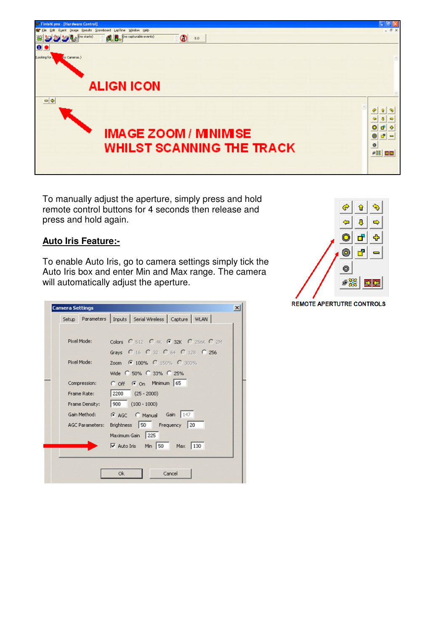

To manually adjust the aperture, simply press and hold remote control buttons for 4 seconds then release and press and hold again.

#### **Auto Iris Feature:-**

To enable Auto Iris, go to camera settings simply tick the Auto Iris box and enter Min and Max range. The camera will automatically adjust the aperture.

|                 | Setup Parameters   Inputs   Serial Wireless   Capture   WLAN |
|-----------------|--------------------------------------------------------------|
|                 |                                                              |
| Pixel Mode:     | Colors C 512 C 4K G 32K C 256K C 2M                          |
|                 | Grays C 16 C 32 C 64 C 128 C 256                             |
| Pixel Mode:     | Zoom • 100% C 150% C 300%                                    |
|                 | Wide C 50% C 33% C 25%                                       |
| Compression:    | C off G on Minimum 65                                        |
| Frame Rate:     | $ 2200(25-2000) $                                            |
| Frame Density:  | $ 900(100-1000) $                                            |
| Gain Method:    | G AGC C Manual Gain 147                                      |
| AGC Parameters: | Brightness 50 Frequency 20                                   |
|                 | Maximum Gain 225                                             |
|                 | Auto Iris Min 50 Max 130                                     |
|                 |                                                              |



**REMOTE APERTUTRE CONTROLS**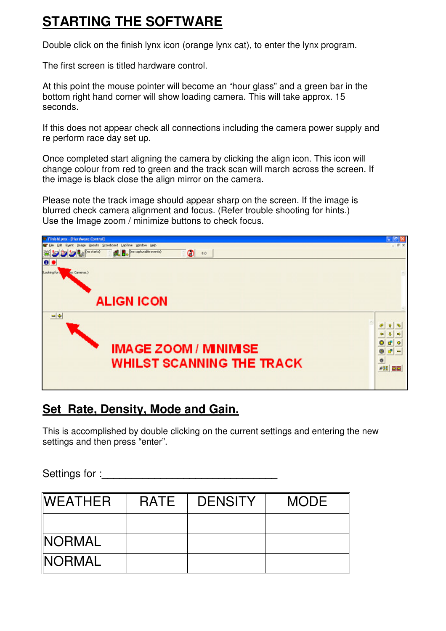## **STARTING THE SOFTWARE**

Double click on the finish lynx icon (orange lynx cat), to enter the lynx program.

The first screen is titled hardware control.

At this point the mouse pointer will become an "hour glass" and a green bar in the bottom right hand corner will show loading camera. This will take approx. 15 seconds.

If this does not appear check all connections including the camera power supply and re perform race day set up.

Once completed start aligning the camera by clicking the align icon. This icon will change colour from red to green and the track scan will march across the screen. If the image is black close the align mirror on the camera.

Please note the track image should appear sharp on the screen. If the image is blurred check camera alignment and focus. (Refer trouble shooting for hints.) Use the Image zoom / minimize buttons to check focus.



## **Set Rate, Density, Mode and Gain.**

This is accomplished by double clicking on the current settings and entering the new settings and then press "enter".

Settings for :

| <b>WEATHER</b> | RATE | <b>DENSITY</b> | <b>MODE</b> |
|----------------|------|----------------|-------------|
|                |      |                |             |
| <b>NORMAL</b>  |      |                |             |
| <b>NORMAL</b>  |      |                |             |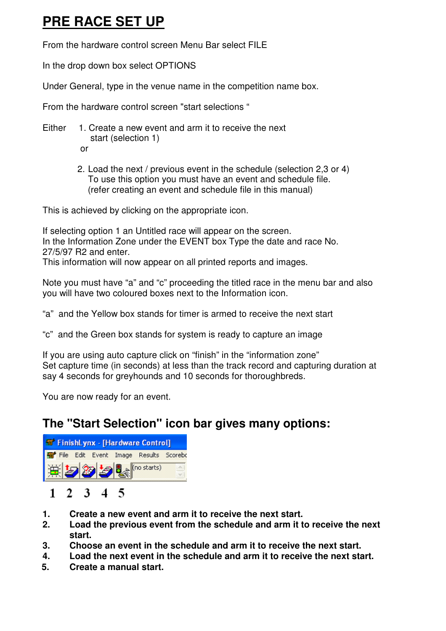## **PRE RACE SET UP**

From the hardware control screen Menu Bar select FILE

In the drop down box select OPTIONS

Under General, type in the venue name in the competition name box.

From the hardware control screen "start selections "

Either 1. Create a new event and arm it to receive the next start (selection 1)

or

2. Load the next / previous event in the schedule (selection 2,3 or 4) To use this option you must have an event and schedule file. (refer creating an event and schedule file in this manual)

This is achieved by clicking on the appropriate icon.

If selecting option 1 an Untitled race will appear on the screen. In the Information Zone under the EVENT box Type the date and race No. 27/5/97 R2 and enter.

This information will now appear on all printed reports and images.

Note you must have "a" and "c" proceeding the titled race in the menu bar and also you will have two coloured boxes next to the Information icon.

"a" and the Yellow box stands for timer is armed to receive the next start

"c" and the Green box stands for system is ready to capture an image

If you are using auto capture click on "finish" in the "information zone" Set capture time (in seconds) at less than the track record and capturing duration at say 4 seconds for greyhounds and 10 seconds for thoroughbreds.

You are now ready for an event.

## **The "Start Selection" icon bar gives many options:**

| FinishLynx - [Hardware Control]       |  |
|---------------------------------------|--|
| File Edit Event Image Results Scorebe |  |
| 其2250 (mostarts)                      |  |

## $1 \t2 \t3 \t4 \t5$

- **1. Create a new event and arm it to receive the next start.**
- **2. Load the previous event from the schedule and arm it to receive the next start.**
- **3. Choose an event in the schedule and arm it to receive the next start.**
- **4. Load the next event in the schedule and arm it to receive the next start.**
- **5. Create a manual start.**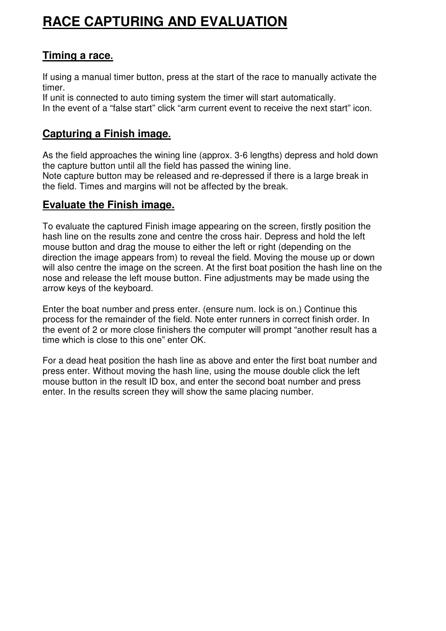# **RACE CAPTURING AND EVALUATION**

#### **Timing a race.**

If using a manual timer button, press at the start of the race to manually activate the timer.

If unit is connected to auto timing system the timer will start automatically. In the event of a "false start" click "arm current event to receive the next start" icon.

## **Capturing a Finish image.**

As the field approaches the wining line (approx. 3-6 lengths) depress and hold down the capture button until all the field has passed the wining line. Note capture button may be released and re-depressed if there is a large break in the field. Times and margins will not be affected by the break.

#### **Evaluate the Finish image.**

To evaluate the captured Finish image appearing on the screen, firstly position the hash line on the results zone and centre the cross hair. Depress and hold the left mouse button and drag the mouse to either the left or right (depending on the direction the image appears from) to reveal the field. Moving the mouse up or down will also centre the image on the screen. At the first boat position the hash line on the nose and release the left mouse button. Fine adjustments may be made using the arrow keys of the keyboard.

Enter the boat number and press enter. (ensure num. lock is on.) Continue this process for the remainder of the field. Note enter runners in correct finish order. In the event of 2 or more close finishers the computer will prompt "another result has a time which is close to this one" enter OK.

For a dead heat position the hash line as above and enter the first boat number and press enter. Without moving the hash line, using the mouse double click the left mouse button in the result ID box, and enter the second boat number and press enter. In the results screen they will show the same placing number.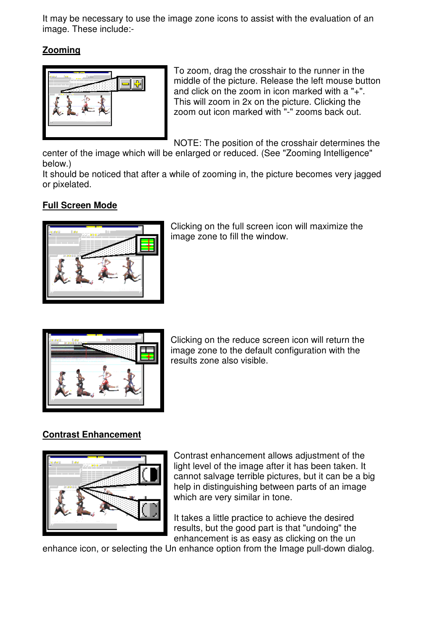It may be necessary to use the image zone icons to assist with the evaluation of an image. These include:-

#### **Zooming**



To zoom, drag the crosshair to the runner in the middle of the picture. Release the left mouse button and click on the zoom in icon marked with a "+". This will zoom in 2x on the picture. Clicking the zoom out icon marked with "-" zooms back out.

NOTE: The position of the crosshair determines the

center of the image which will be enlarged or reduced. (See "Zooming Intelligence" below.)

It should be noticed that after a while of zooming in, the picture becomes very jagged or pixelated.

#### **Full Screen Mode**



Clicking on the full screen icon will maximize the image zone to fill the window.



Clicking on the reduce screen icon will return the image zone to the default configuration with the results zone also visible.

#### **Contrast Enhancement**



Contrast enhancement allows adjustment of the light level of the image after it has been taken. It cannot salvage terrible pictures, but it can be a big help in distinguishing between parts of an image which are very similar in tone.

It takes a little practice to achieve the desired results, but the good part is that "undoing" the enhancement is as easy as clicking on the un

enhance icon, or selecting the Un enhance option from the Image pull-down dialog.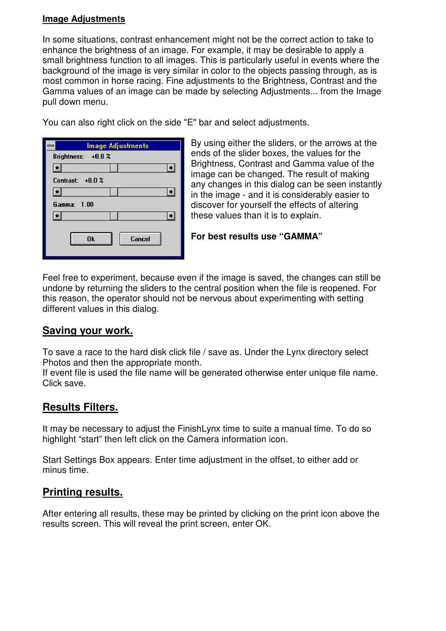#### **Image Adjustments**

In some situations, contrast enhancement might not be the correct action to take to enhance the brightness of an image. For example, it may be desirable to apply a small brightness function to all images. This is particularly useful in events where the background of the image is very similar in color to the objects passing through, as is most common in horse racing. Fine adjustments to the Brightness, Contrast and the Gamma values of an image can be made by selecting Adjustments... from the Image pull down menu.

You can also right click on the side "E" bar and select adjustments.

| Image Adjustments  |
|--------------------|
| Brightness: +0.0 % |
|                    |
| Contrast: $+0.0\%$ |
|                    |
| Gamma: 1.00        |
|                    |
| 0k<br>Cancel       |

By using either the sliders, or the arrows at the ends of the slider boxes, the values for the Brightness, Contrast and Gamma value of the image can be changed. The result of making any changes in this dialog can be seen instantly in the image - and it is considerably easier to discover for yourself the effects of altering these values than it is to explain.

**For best results use "GAMMA"** 

Feel free to experiment, because even if the image is saved, the changes can still be undone by returning the sliders to the central position when the file is reopened. For this reason, the operator should not be nervous about experimenting with setting different values in this dialog.

#### **Saving your work.**

To save a race to the hard disk click file / save as. Under the Lynx directory select Photos and then the appropriate month.

If event file is used the file name will be generated otherwise enter unique file name. Click save.

## **Results Filters.**

It may be necessary to adjust the FinishLynx time to suite a manual time. To do so highlight "start" then left click on the Camera information icon.

Start Settings Box appears. Enter time adjustment in the offset, to either add or minus time.

#### **Printing results.**

After entering all results, these may be printed by clicking on the print icon above the results screen. This will reveal the print screen, enter OK.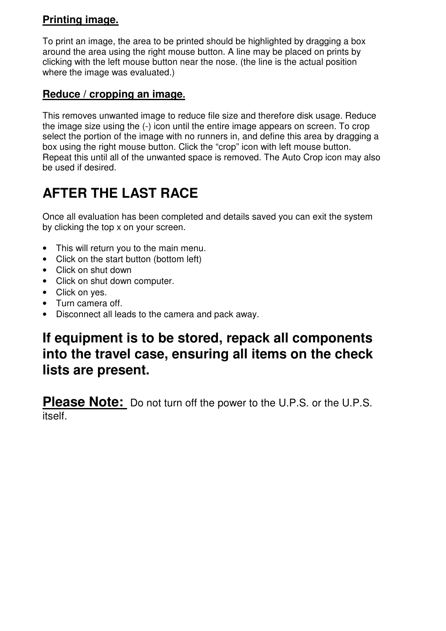## **Printing image.**

To print an image, the area to be printed should be highlighted by dragging a box around the area using the right mouse button. A line may be placed on prints by clicking with the left mouse button near the nose. (the line is the actual position where the image was evaluated.)

## **Reduce / cropping an image.**

This removes unwanted image to reduce file size and therefore disk usage. Reduce the image size using the (-) icon until the entire image appears on screen. To crop select the portion of the image with no runners in, and define this area by dragging a box using the right mouse button. Click the "crop" icon with left mouse button. Repeat this until all of the unwanted space is removed. The Auto Crop icon may also be used if desired.

# **AFTER THE LAST RACE**

Once all evaluation has been completed and details saved you can exit the system by clicking the top x on your screen.

- This will return you to the main menu.
- Click on the start button (bottom left)
- Click on shut down
- Click on shut down computer.
- Click on yes.
- Turn camera off.
- Disconnect all leads to the camera and pack away.

## **If equipment is to be stored, repack all components into the travel case, ensuring all items on the check lists are present.**

**Please Note:** Do not turn off the power to the U.P.S. or the U.P.S. itself.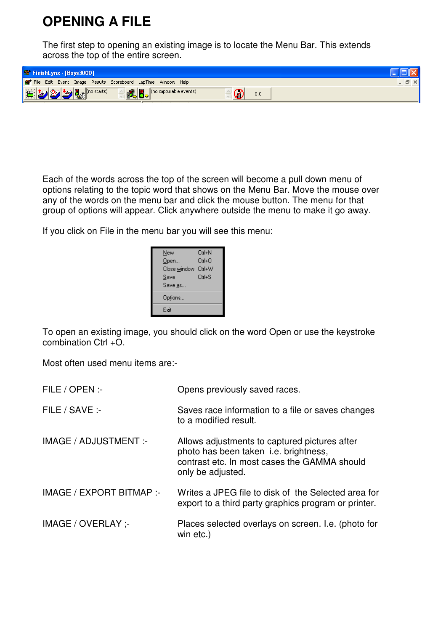## **OPENING A FILE**

The first step to opening an existing image is to locate the Menu Bar. This extends across the top of the entire screen.

| <b>W</b> FinishLynx - [Boys 3000]                            |  |
|--------------------------------------------------------------|--|
| File Edit Event Image Results Scoreboard LapTime Window Help |  |
| (no capturable events)<br>其之多之。(mstarts)<br>0.0              |  |

Each of the words across the top of the screen will become a pull down menu of options relating to the topic word that shows on the Menu Bar. Move the mouse over any of the words on the menu bar and click the mouse button. The menu for that group of options will appear. Click anywhere outside the menu to make it go away.

If you click on File in the menu bar you will see this menu:

| New          | Ctrl+N            |
|--------------|-------------------|
| Open         | $C$ trl+ $\Omega$ |
| Close window | Ctrl+W            |
| Save         | $C$ trl+S         |
| Save as      |                   |
| Options      |                   |
| Exit         |                   |
|              |                   |

To open an existing image, you should click on the word Open or use the keystroke combination Ctrl +O.

Most often used menu items are:-

| FILE / OPEN :-               | Opens previously saved races.                                                                                                                                      |
|------------------------------|--------------------------------------------------------------------------------------------------------------------------------------------------------------------|
| FILE / SAVE:-                | Saves race information to a file or saves changes<br>to a modified result.                                                                                         |
| <b>IMAGE / ADJUSTMENT :-</b> | Allows adjustments to captured pictures after<br>photo has been taken <i>i.e.</i> brightness,<br>contrast etc. In most cases the GAMMA should<br>only be adjusted. |
| IMAGE / EXPORT BITMAP :-     | Writes a JPEG file to disk of the Selected area for<br>export to a third party graphics program or printer.                                                        |
| IMAGE / OVERLAY :-           | Places selected overlays on screen. I.e. (photo for<br>win etc.)                                                                                                   |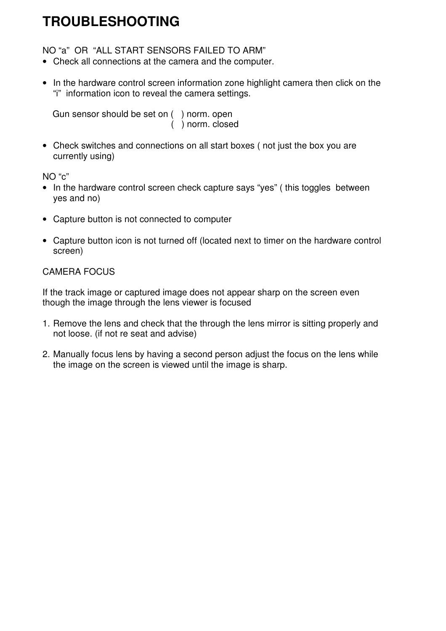## **TROUBLESHOOTING**

NO "a" OR "ALL START SENSORS FAILED TO ARM"

- Check all connections at the camera and the computer.
- In the hardware control screen information zone highlight camera then click on the "i" information icon to reveal the camera settings.

 Gun sensor should be set on ( ) norm. open ( ) norm. closed

• Check switches and connections on all start boxes ( not just the box you are currently using)

NO "c"

- In the hardware control screen check capture says "yes" (this toggles between yes and no)
- Capture button is not connected to computer
- Capture button icon is not turned off (located next to timer on the hardware control screen)

#### CAMERA FOCUS

If the track image or captured image does not appear sharp on the screen even though the image through the lens viewer is focused

- 1. Remove the lens and check that the through the lens mirror is sitting properly and not loose. (if not re seat and advise)
- 2. Manually focus lens by having a second person adjust the focus on the lens while the image on the screen is viewed until the image is sharp.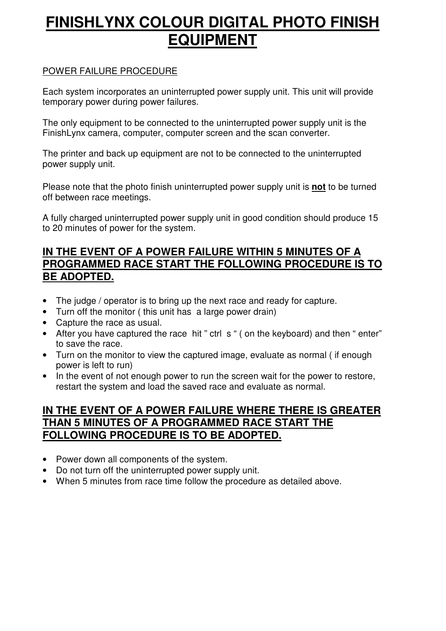# **FINISHLYNX COLOUR DIGITAL PHOTO FINISH EQUIPMENT**

#### POWER FAILURE PROCEDURE

Each system incorporates an uninterrupted power supply unit. This unit will provide temporary power during power failures.

The only equipment to be connected to the uninterrupted power supply unit is the FinishLynx camera, computer, computer screen and the scan converter.

The printer and back up equipment are not to be connected to the uninterrupted power supply unit.

Please note that the photo finish uninterrupted power supply unit is **not** to be turned off between race meetings.

A fully charged uninterrupted power supply unit in good condition should produce 15 to 20 minutes of power for the system.

#### **IN THE EVENT OF A POWER FAILURE WITHIN 5 MINUTES OF A PROGRAMMED RACE START THE FOLLOWING PROCEDURE IS TO BE ADOPTED.**

- The judge / operator is to bring up the next race and ready for capture.
- Turn off the monitor ( this unit has a large power drain)
- Capture the race as usual.
- After you have captured the race hit " ctrl s " ( on the keyboard) and then " enter" to save the race.
- Turn on the monitor to view the captured image, evaluate as normal ( if enough power is left to run)
- In the event of not enough power to run the screen wait for the power to restore, restart the system and load the saved race and evaluate as normal.

#### **IN THE EVENT OF A POWER FAILURE WHERE THERE IS GREATER THAN 5 MINUTES OF A PROGRAMMED RACE START THE FOLLOWING PROCEDURE IS TO BE ADOPTED.**

- Power down all components of the system.
- Do not turn off the uninterrupted power supply unit.
- When 5 minutes from race time follow the procedure as detailed above.